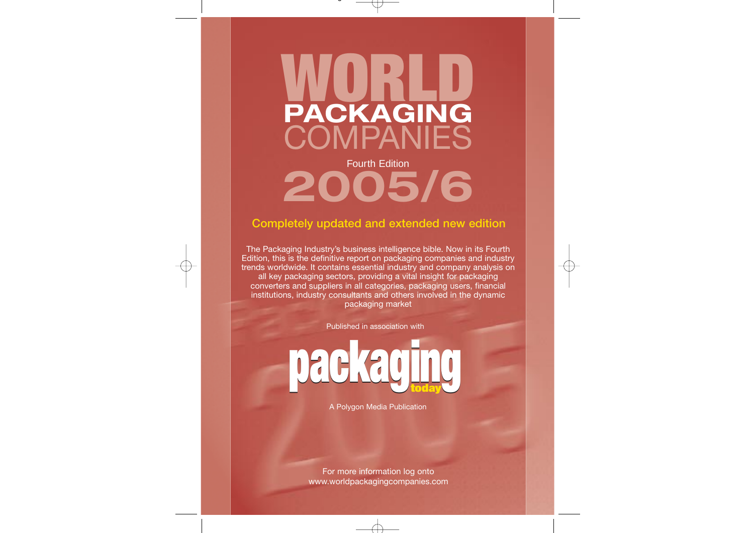

# **2005/6**

## **Completely updated and extended new edition**

The Packaging Industry's business intelligence bible. Now in its Fourth Edition, this is the definitive report on packaging companies and industry trends worldwide. It contains essential industry and company analysis on all key packaging sectors, providing a vital insight for packaging converters and suppliers in all categories, packaging users, financial institutions, industry consultants and others involved in the dynamic packaging market

Published in association with

**packaging today**

A Polygon Media Publication

For more information log onto www.worldpackagingcompanies.com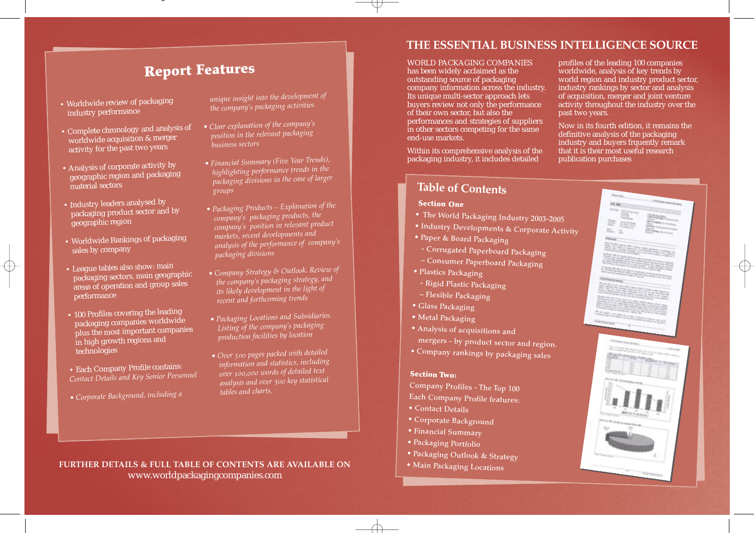## **Report Features**

- Worldwide review of packaging industry performance
- Complete chronology and analysis o<sup>f</sup> worldwide acquisition & merger activity for the past two years
- Analysis of corporate activity by geographic region and packaging material sectors
- Industry leaders analysed by packaging product sector and by geographic region
- Worldwide Rankings of packaging sales by company
- League tables also show: main packaging sectors, main geographic areas of operation and group sales performance
- 100 Profiles covering the leading packaging companies worldwide plus the most important companies in high growth regions an<sup>d</sup> technologies
- Each Company Profile contains: *Contact Details and Key Senior Personne<sup>l</sup>*
- *Corporate Background, including a*

*unique insight into the development of the company's packaging activities*

- *Clear explanation of the company's position in the relevant packaging business sectors*
- *Financial Summary (Five Year Trends), highlighting performance trends in the packaging divisions in the case of larger groups*
- *Packaging Products Explanation of the company's packaging products, the markets, recent developments and analysis of the performance of company's packaging divisions*
- *Company Strategy & Outlook. Review of the company's packaging strategy, an<sup>d</sup> its likely development in the light of recent and forthcoming trends*
- *Packaging Locations and Subsidiaries. Listing of the company's packaging production facilities by location*
- *Over 500 pages packed with detailed information and statistics, increase text analysis and over 300 key statistical tables and charts.*

## **THE ESSENTIAL BUSINESS INTELLIGENCE SOURCE**

WORLD PACKAGING COMPANIES has been widely acclaimed as the outstanding source of packaging company information across the industry. Its unique multi-sector approach lets buyers review not only the performance of their own sector, but also the performances and strategies of suppliers in other sectors competing for the same end-use markets.

Within its comprehensive analysis of the packaging industry, it includes detailed

profiles of the leading 100 companies worldwide, analysis of key trends by world region and industry product sector, industry rankings by sector and analysis of acquisition, merger and joint venture activity throughout the industry over the past two years.

Now in its fourth edition, it remains the definitive analysis of the packaging industry and buyers frquently remark that it is their most useful research publication purchases

## **Table of Contents**

### **Section One**

- **The World Packaging Industry 2003-2005**
- **Industry Developments & Corporate Activity Paper & Board Packaging**
- 
- 
- **Corrugated Paperboard Packaging Consumer Paperboard Packaging Plastics Packaging**
- 
- **Rigid Plastic Packaging**
- **Flexible Packaging**
- **Glass Packaging**
- **Metal Packaging**
- 

**• Analysis of acquisitions and** 

 $\bullet$  Company rankings by packaging sales

#### **Section Two:**

**Company Profiles - The Top 100** 

- **Each Company Profile features:**
- **Contact Details**
- **Corporate Background**
- **Financial Summary**
- **Packaging Portfolio**
- **Packaging Outlook & Strategy Main Packaging Locations**
- 



**FURTHER DETAILS & FULL TABLE OF CONTENTS ARE AVAILABLE ON** www.worldpackagingcompanies.com